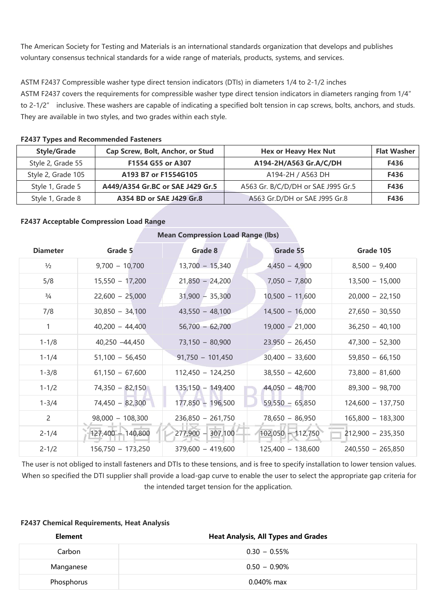The American Society for Testing and Materials is an international standards organization that develops and publishes voluntary consensus technical standards for a wide range of materials, products, systems, and services.

## ASTM F2437 Compressible washer type direct tension indicators (DTIs) in diameters 1/4 to 2-1/2 inches

ASTM F2437 covers the requirements for compressible washer type direct tension indicators in diameters ranging from 1/4" to 2-1/2" inclusive. These washers are capable of indicating a specified bolt tension in cap screws, bolts, anchors, and studs. They are available in two styles, and two grades within each style.

| <b>Style/Grade</b> | Cap Screw, Bolt, Anchor, or Stud | <b>Hex or Heavy Hex Nut</b>        | <b>Flat Washer</b> |
|--------------------|----------------------------------|------------------------------------|--------------------|
| Style 2, Grade 55  | F1554 G55 or A307                | A194-2H/A563 Gr.A/C/DH             | F436               |
| Style 2, Grade 105 | A193 B7 or F1554G105             | A194-2H / A563 DH                  | F436               |
| Style 1, Grade 5   | A449/A354 Gr.BC or SAE J429 Gr.5 | A563 Gr. B/C/D/DH or SAE J995 Gr.5 | F436               |
| Style 1, Grade 8   | A354 BD or SAE J429 Gr.8         | A563 Gr.D/DH or SAE J995 Gr.8      | F436               |

#### **F2437 Types and Recommended Fasteners**

## **F2437 Acceptable Compression Load Range**

# **Mean Compression Load Range (lbs) Diameter Grade 5 Grade 8 Grade 55 Grade 105** ½ 9,700 – 10,700 13,700 – 15,340 4,450 – 4,900 8,500 – 9,400 5/8 15,550 – 17,200 21,850 – 24,200 7,050 – 7,800 13,500 – 15,000 ¾ 22,600 – 25,000 31,900 – 35,300 10,500 – 11,600 20,000 – 22,150 7/8 30,850 – 34,100 43,550 – 48,100 14,500 – 16,000 27,650 – 30,550 1 40,200 – 44,400 56,700 – 62,700 19,000 – 21,000 36,250 – 40,100 1-1/8 40,250 –44,450 73,150 – 80,900 23.950 – 26,450 47,300 – 52,300 1-1/4 51,100 – 56,450 91,750 – 101,450 30,400 – 33,600 59,850 – 66,150 1-3/8 61,150 – 67,600 112,450 – 124,250 38,550 – 42,600 73,800 – 81,600 1-1/2 74,350 – 82,150 135,150 – 149,400 44,050 – 48,700 89,300 – 98,700 1-3/4 74,450 – 82,300 177,850 – 196,500 59,550 – 65,850 124,600 – 137,750 2 98,000 – 108,300 236,850 – 261,750 78,650 – 86,950 165,800 – 183,300  $2-1/4$  127,400 – 140,800  $\sqrt{277,900}$  – 307,100 – 102,050 – 112,750  $\sqrt{277,900}$  – 235,350 2-1/2 156,750 – 173,250 379,600 – 419,600 125,400 – 138,600 240,550 – 265,850

The user is not obliged to install fasteners and DTIs to these tensions, and is free to specify installation to lower tension values. When so specified the DTI supplier shall provide a load-gap curve to enable the user to select the appropriate gap criteria for the intended target tension for the application.

### **F2437 Chemical Requirements, Heat Analysis**

| Element    | <b>Heat Analysis, All Types and Grades</b> |
|------------|--------------------------------------------|
| Carbon     | $0.30 - 0.55\%$                            |
| Manganese  | $0.50 - 0.90\%$                            |
| Phosphorus | $0.040\%$ max                              |